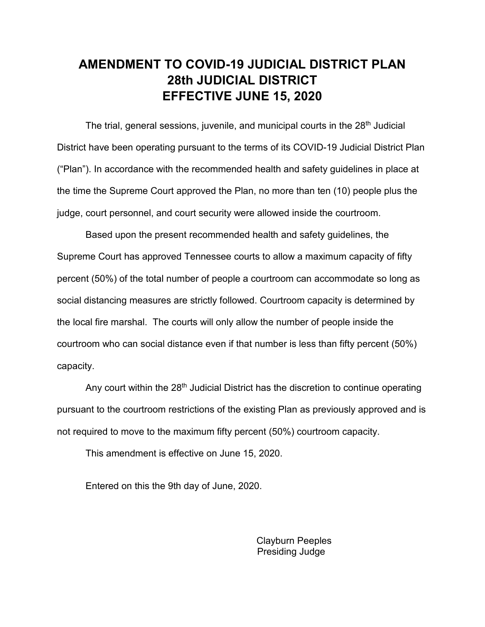## **AMENDMENT TO COVID-19 JUDICIAL DISTRICT PLAN 28th JUDICIAL DISTRICT EFFECTIVE JUNE 15, 2020**

The trial, general sessions, juvenile, and municipal courts in the 28<sup>th</sup> Judicial District have been operating pursuant to the terms of its COVID-19 Judicial District Plan ("Plan"). In accordance with the recommended health and safety guidelines in place at the time the Supreme Court approved the Plan, no more than ten (10) people plus the judge, court personnel, and court security were allowed inside the courtroom.

Based upon the present recommended health and safety guidelines, the Supreme Court has approved Tennessee courts to allow a maximum capacity of fifty percent (50%) of the total number of people a courtroom can accommodate so long as social distancing measures are strictly followed. Courtroom capacity is determined by the local fire marshal. The courts will only allow the number of people inside the courtroom who can social distance even if that number is less than fifty percent (50%) capacity.

Any court within the 28<sup>th</sup> Judicial District has the discretion to continue operating pursuant to the courtroom restrictions of the existing Plan as previously approved and is not required to move to the maximum fifty percent (50%) courtroom capacity.

This amendment is effective on June 15, 2020.

Entered on this the 9th day of June, 2020.

Clayburn Peeples Presiding Judge